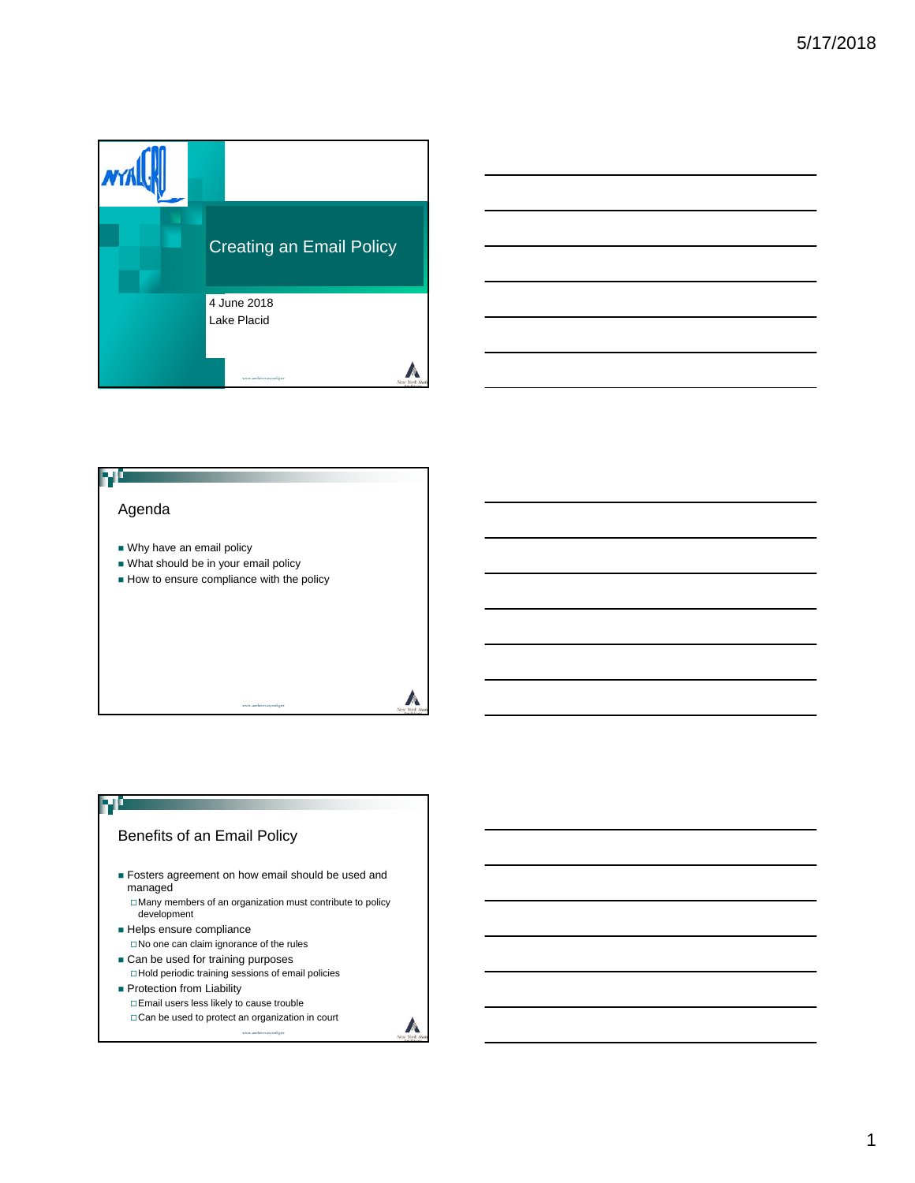





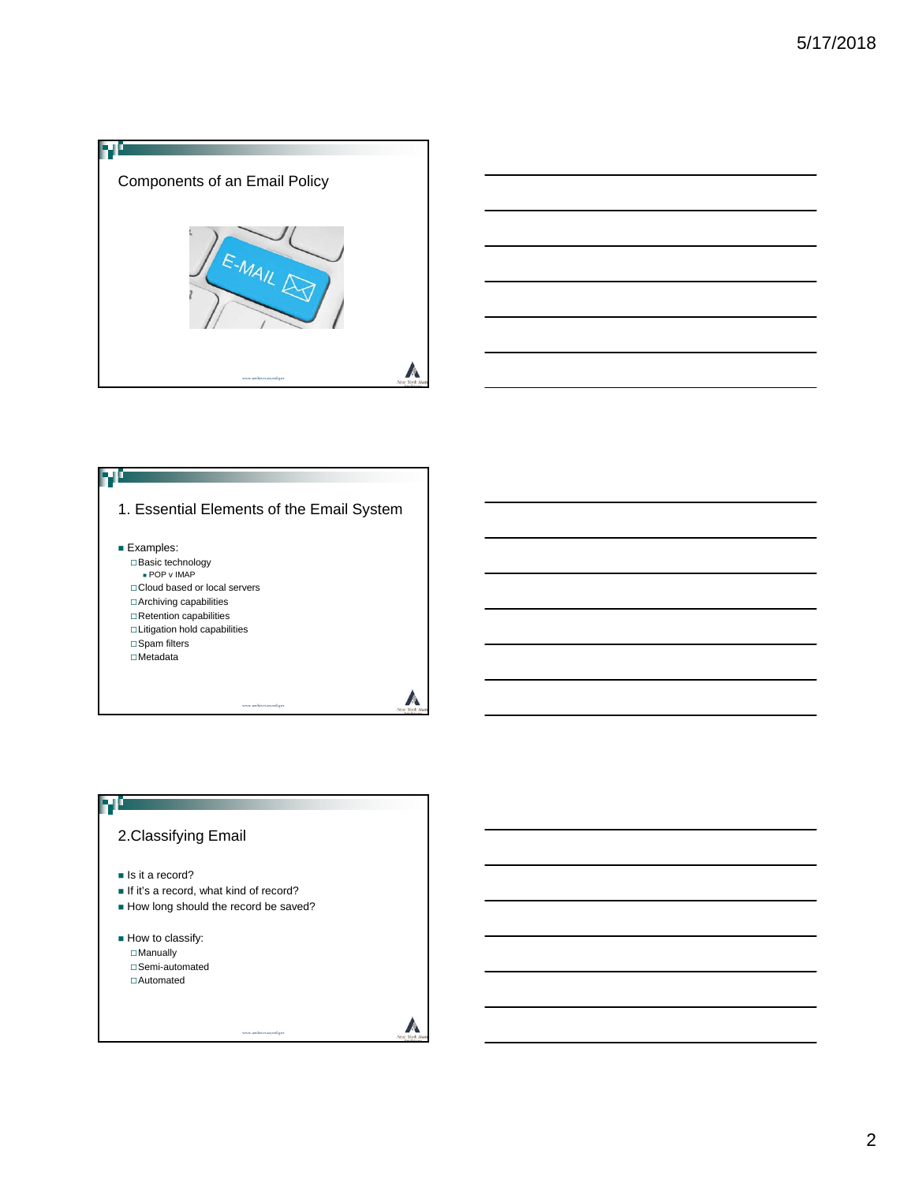



#### ыс 1. Essential Elements of the Email System **Examples:** Basic technology POP v IMAP □ Cloud based or local servers Archiving capabilities  $\Box$  Retention capabilities Litigation hold capabilities □ Spam filters Metadata A www.archives.nysed.gov

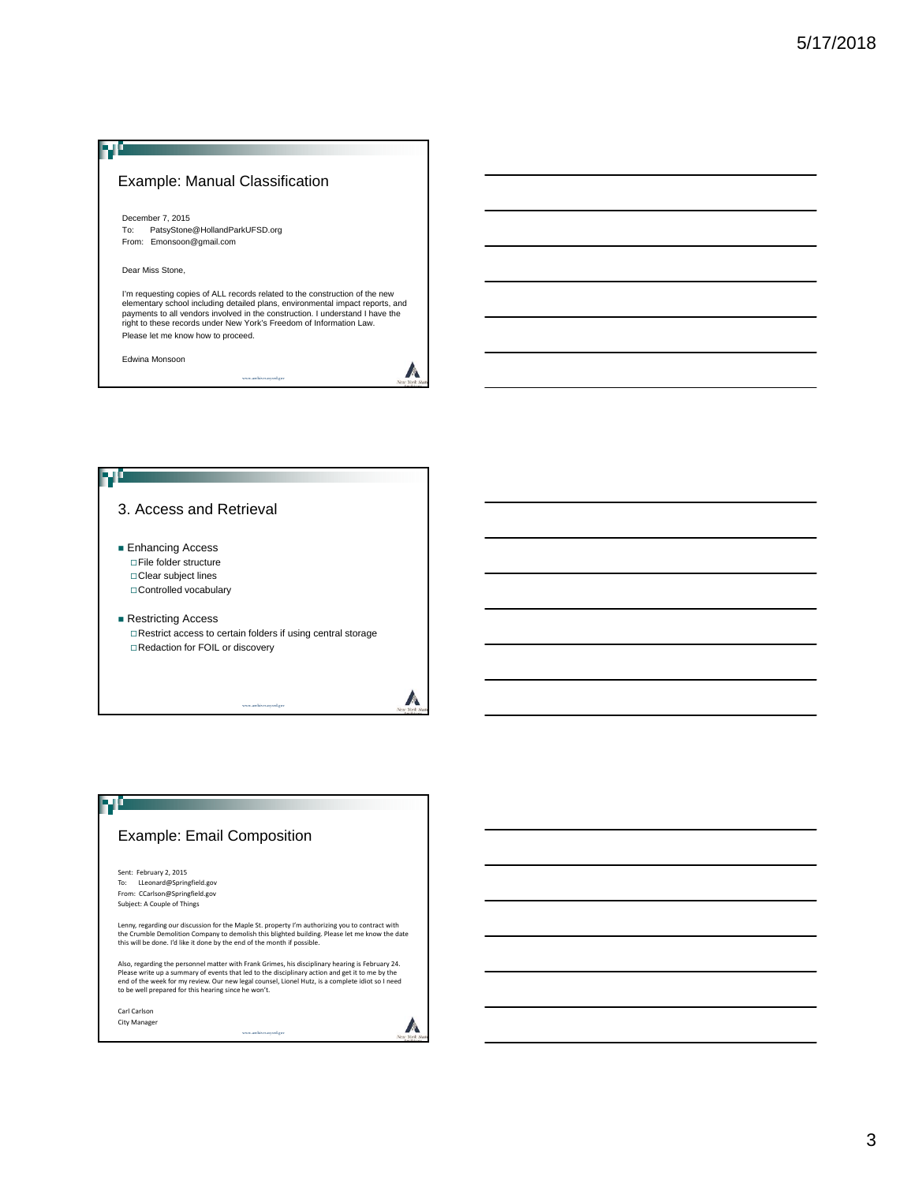#### Example: Manual Classification

December 7, 2015 To: PatsyStone@HollandParkUFSD.org From: Emonsoon@gmail.com

Dear Miss Stone,

Л

I'm requesting copies of ALL records related to the construction of the new elementary school including detailed plans, environmental impact reports, and payments to all vendors involved in the construction. I understand I have the right to these records under New York's Freedom of Information Law. Please let me know how to proceed.

www.archives.nysed.gov

A

Edwina Monsoon



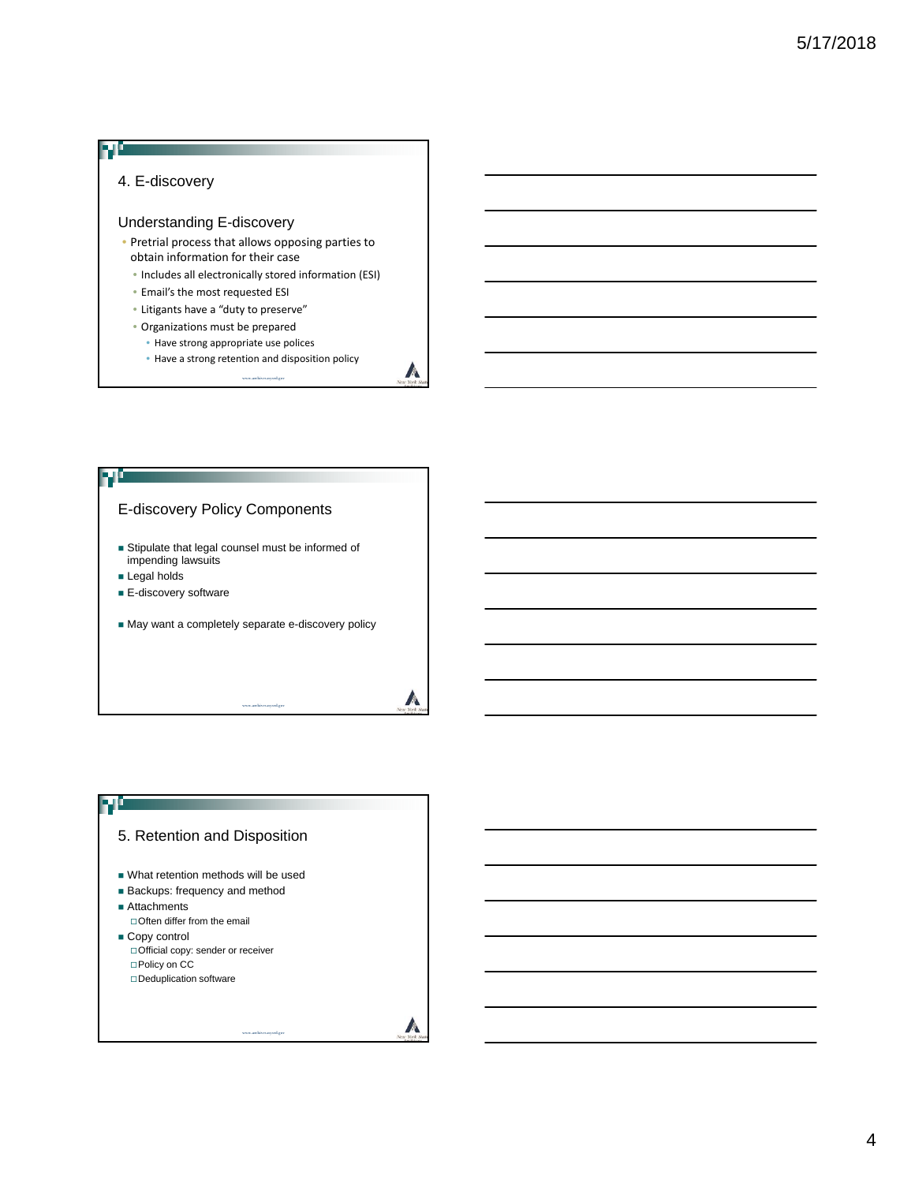# 4. E-discovery Understanding E-discovery • Pretrial process that allows opposing parties to obtain information for their case

- Includes all electronically stored information (ESI)
- Email's the most requested ESI
- Litigants have a "duty to preserve"
- Organizations must be prepared
	- Have strong appropriate use polices
	- Have a strong retention and disposition policy

A

www.archives.nysed.gov



### ŦĿ 5. Retention and Disposition What retention methods will be used **Backups: frequency and method** ■ Attachments Often differ from the email Copy control Official copy: sender or receiver □Policy on CC Deduplication software A

www.archives.nysed.gov

#### 4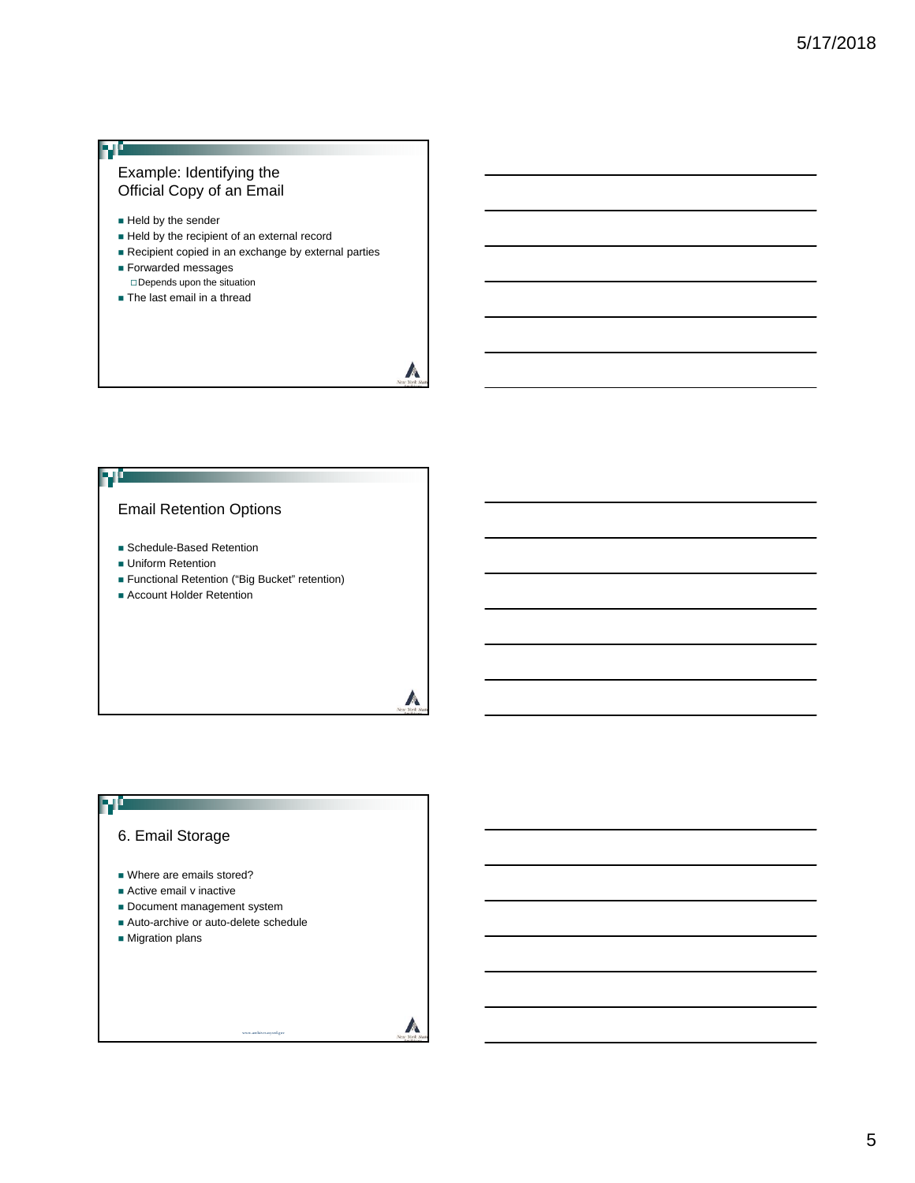#### Example: Identifying the Official Copy of an Email

Held by the sender

ŦĽ

- Held by the recipient of an external record
- Recipient copied in an exchange by external parties
- **Forwarded messages** Depends upon the situation
- **The last email in a thread**

### M

 $\mathbb{A}$ 

 $\sqrt{2}$ 

#### Email Retention Options

- **Schedule-Based Retention**
- **Uniform Retention**
- Functional Retention ("Big Bucket" retention)
- **Account Holder Retention**

## 70

### 6. Email Storage

- Where are emails stored?
- **Active email v inactive**
- Document management system
- Auto-archive or auto-delete schedule

www.archives.nysed.gov

**Migration plans**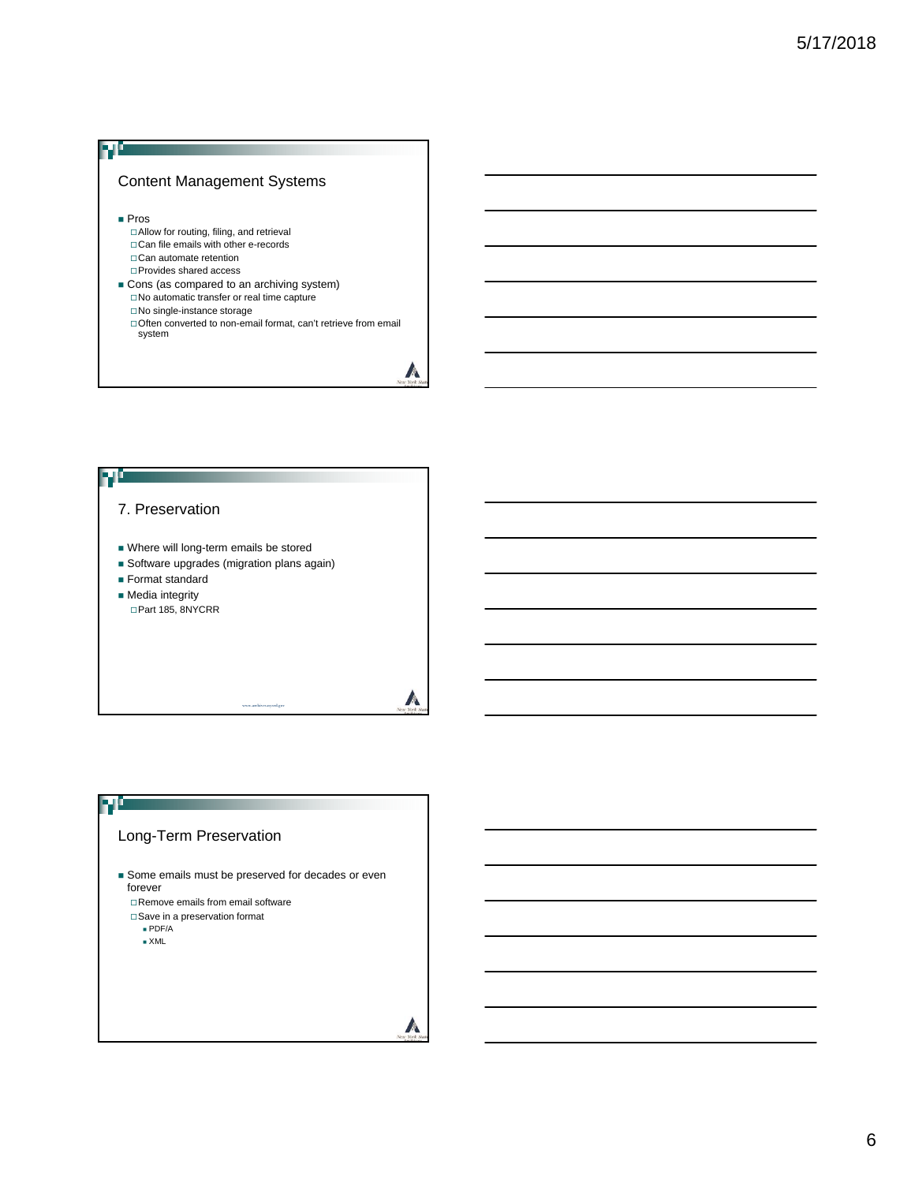#### Content Management Systems

■ Pros

FJÖ

- Allow for routing, filing, and retrieval □ Can file emails with other e-records Can automate retention
- Provides shared access
- Cons (as compared to an archiving system)  $\Box$  No automatic transfer or real time capture No single-instance storage
	- □ Often converted to non-email format, can't retrieve from email system

A



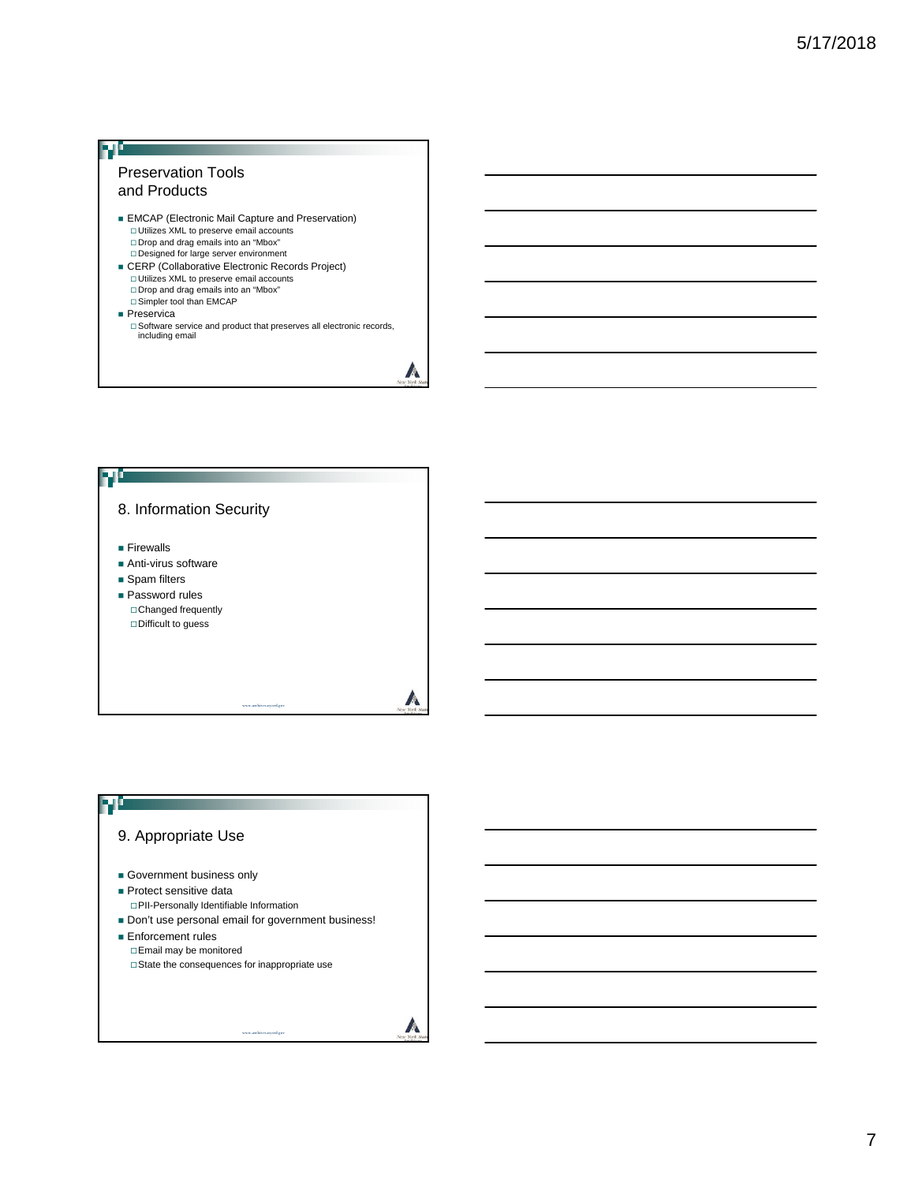## Ŧ Preservation Tools and Products **EMCAP** (Electronic Mail Capture and Preservation) □ Utilizes XML to preserve email accounts<br>□ Drop and drag emails into an "Mbox"<br>□ Designed for large server environment ■ CERP (Collaborative Electronic Records Project)<br>
□ Utilizes XML to preserve email accounts Drop and drag emails into an "Mbox" Simpler tool than EMCAP

- 
- **Preservica** 
	- □ Software service and product that preserves all electronic records, including email

 $\mathbb{A}$ 



### 70 9. Appropriate Use Government business only **Protect sensitive data** PII-Personally Identifiable Information Don't use personal email for government business! **Enforcement rules** Email may be monitored  $\Box$  State the consequences for inappropriate use A www.archives.nysed.gov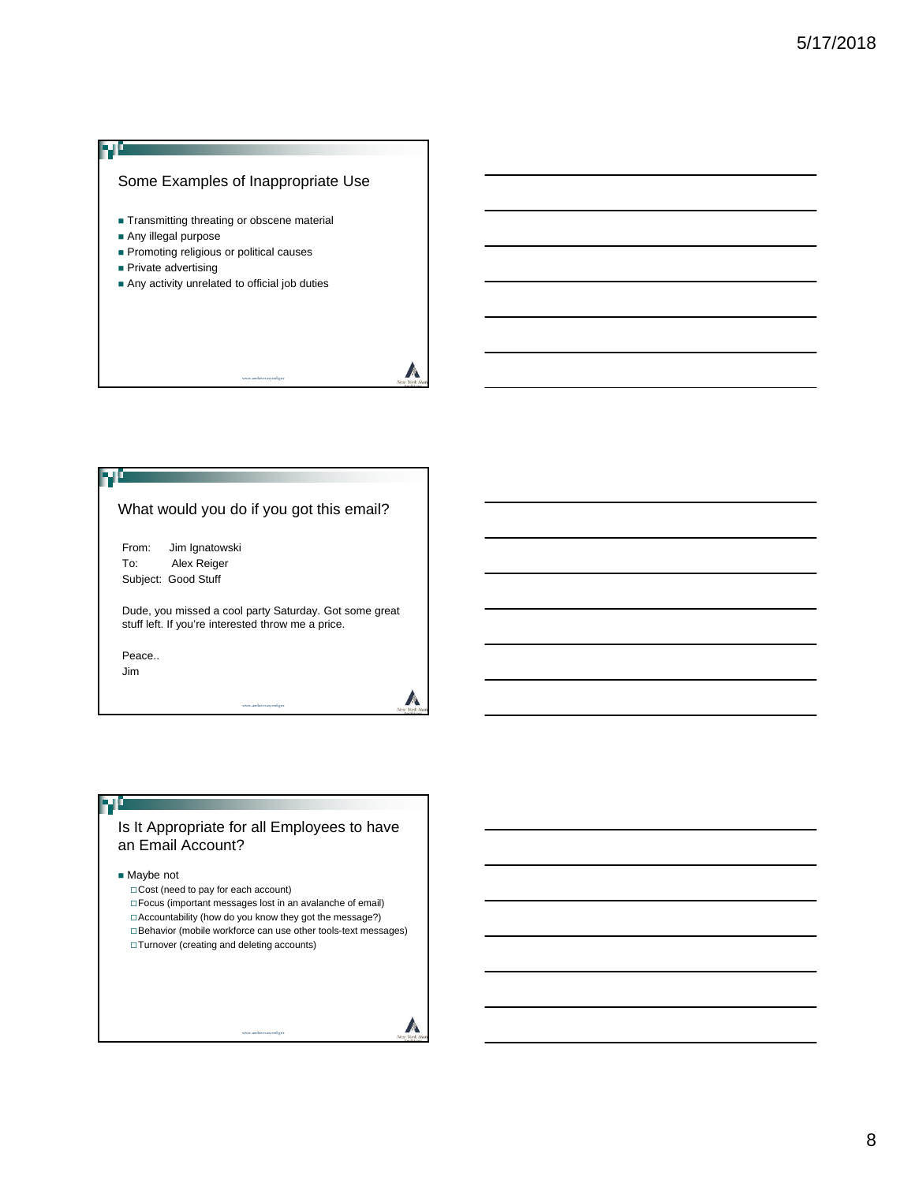



#### 70

Is It Appropriate for all Employees to have an Email Account?

■ Maybe not

Cost (need to pay for each account) Focus (important messages lost in an avalanche of email) Accountability (how do you know they got the message?) Behavior (mobile workforce can use other tools-text messages) Turnover (creating and deleting accounts)

www.archives.nysed.gov

A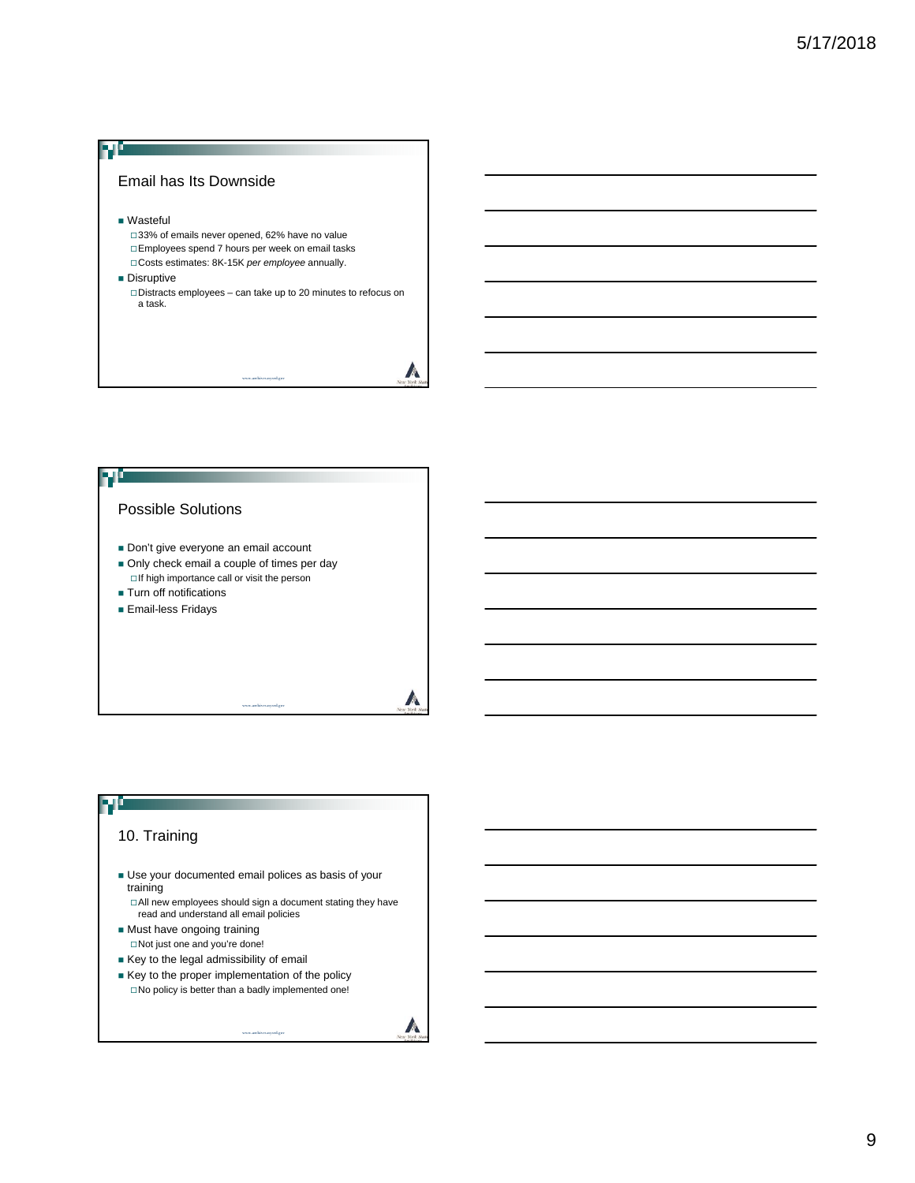



### 70 10. Training Use your documented email polices as basis of your training □ All new employees should sign a document stating they have read and understand all email policies Must have ongoing training Not just one and you're done! Key to the legal admissibility of email Key to the proper implementation of the policy □No policy is better than a badly implemented one!

www.archives.nysed.gov

A

9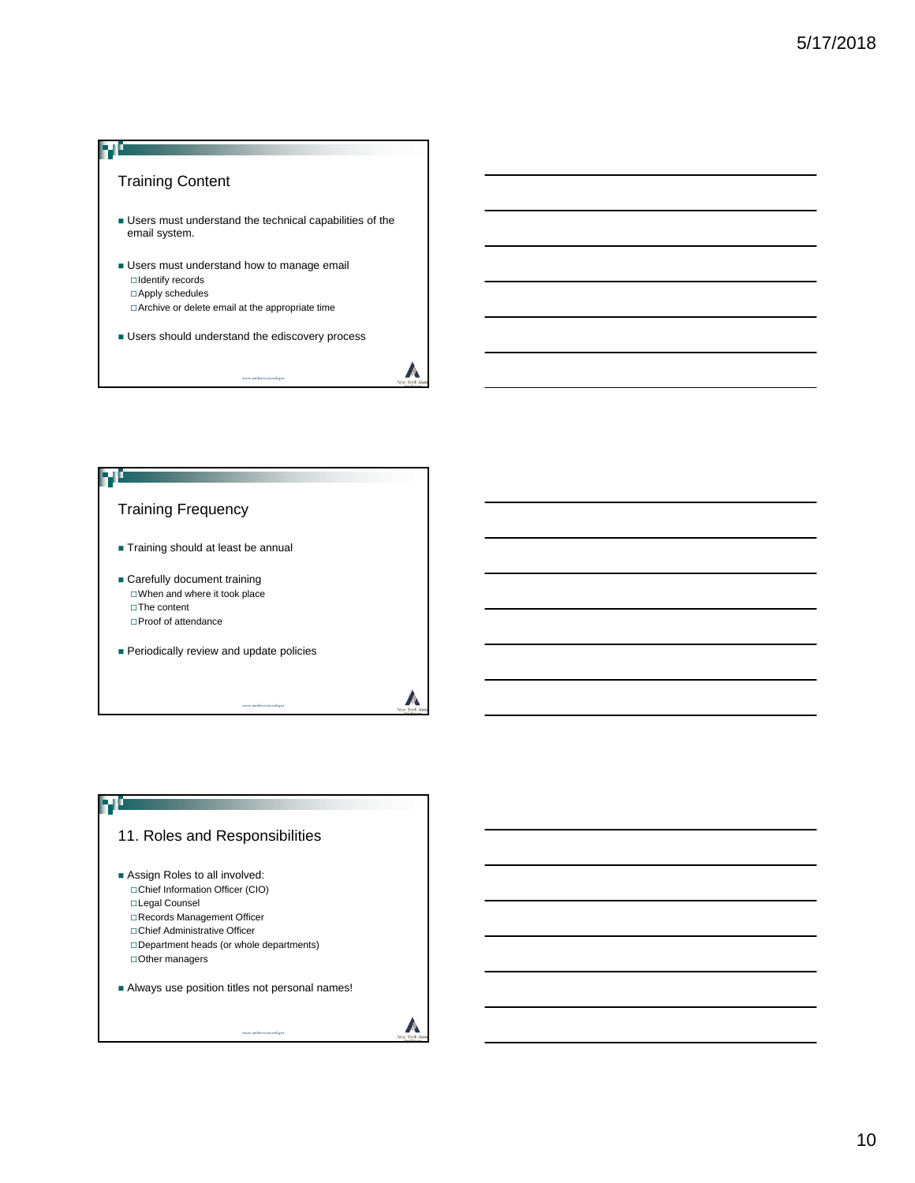



## 11. Roles and Responsibilities

FL

- **Assign Roles to all involved:** Chief Information Officer (CIO) Legal Counsel Records Management Officer Chief Administrative Officer Department heads (or whole departments) Other managers
- Always use position titles not personal names!

www.archives.nysed.gov

A